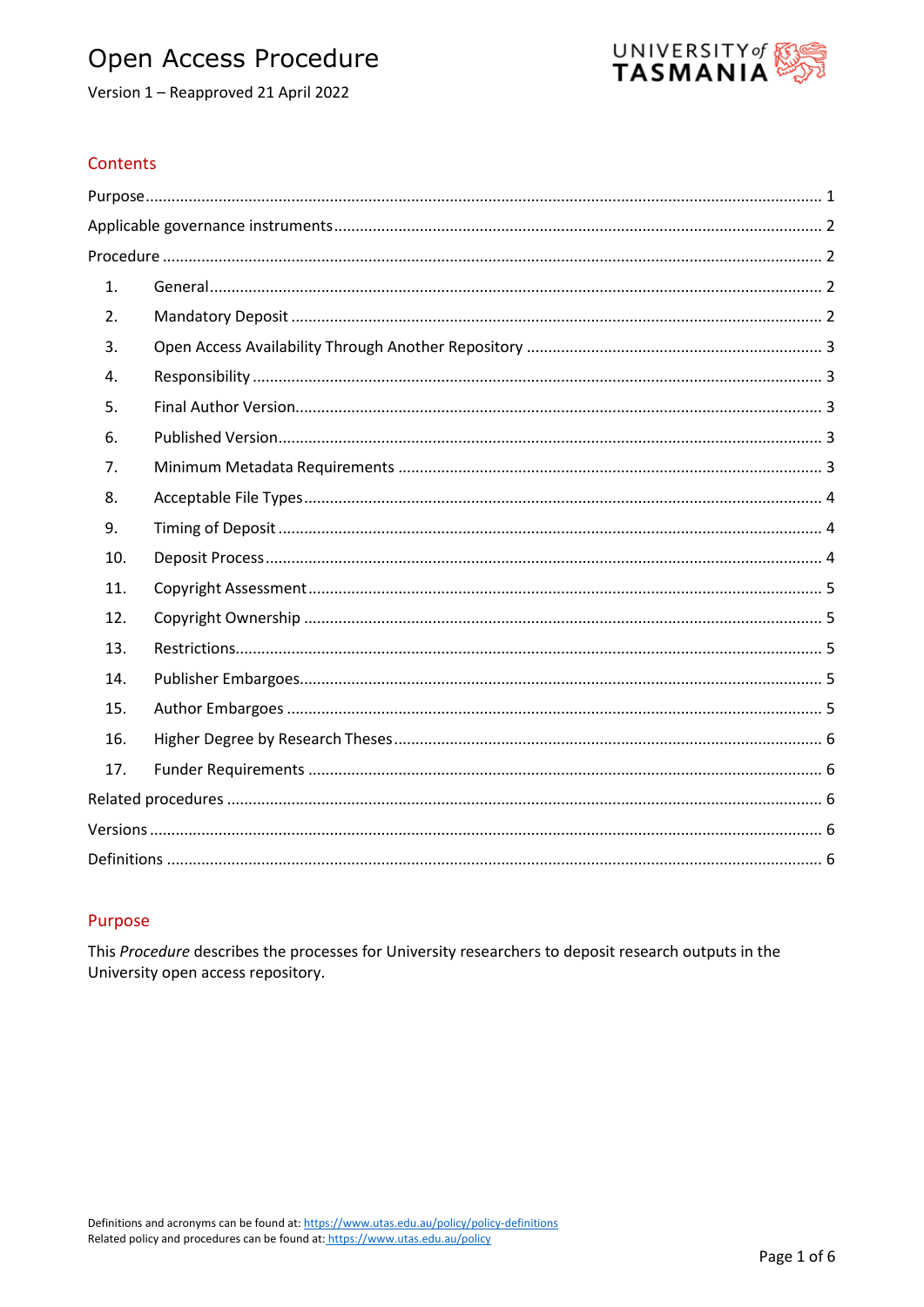# Open Access Procedure





# Contents

| 1.  |  |
|-----|--|
| 2.  |  |
| 3.  |  |
| 4.  |  |
| 5.  |  |
| 6.  |  |
| 7.  |  |
| 8.  |  |
| 9.  |  |
| 10. |  |
| 11. |  |
| 12. |  |
| 13. |  |
| 14. |  |
| 15. |  |
| 16. |  |
| 17. |  |
|     |  |
|     |  |
|     |  |

## <span id="page-0-0"></span>Purpose

<span id="page-0-1"></span>This Procedure describes the processes for University researchers to deposit research outputs in the University open access repository.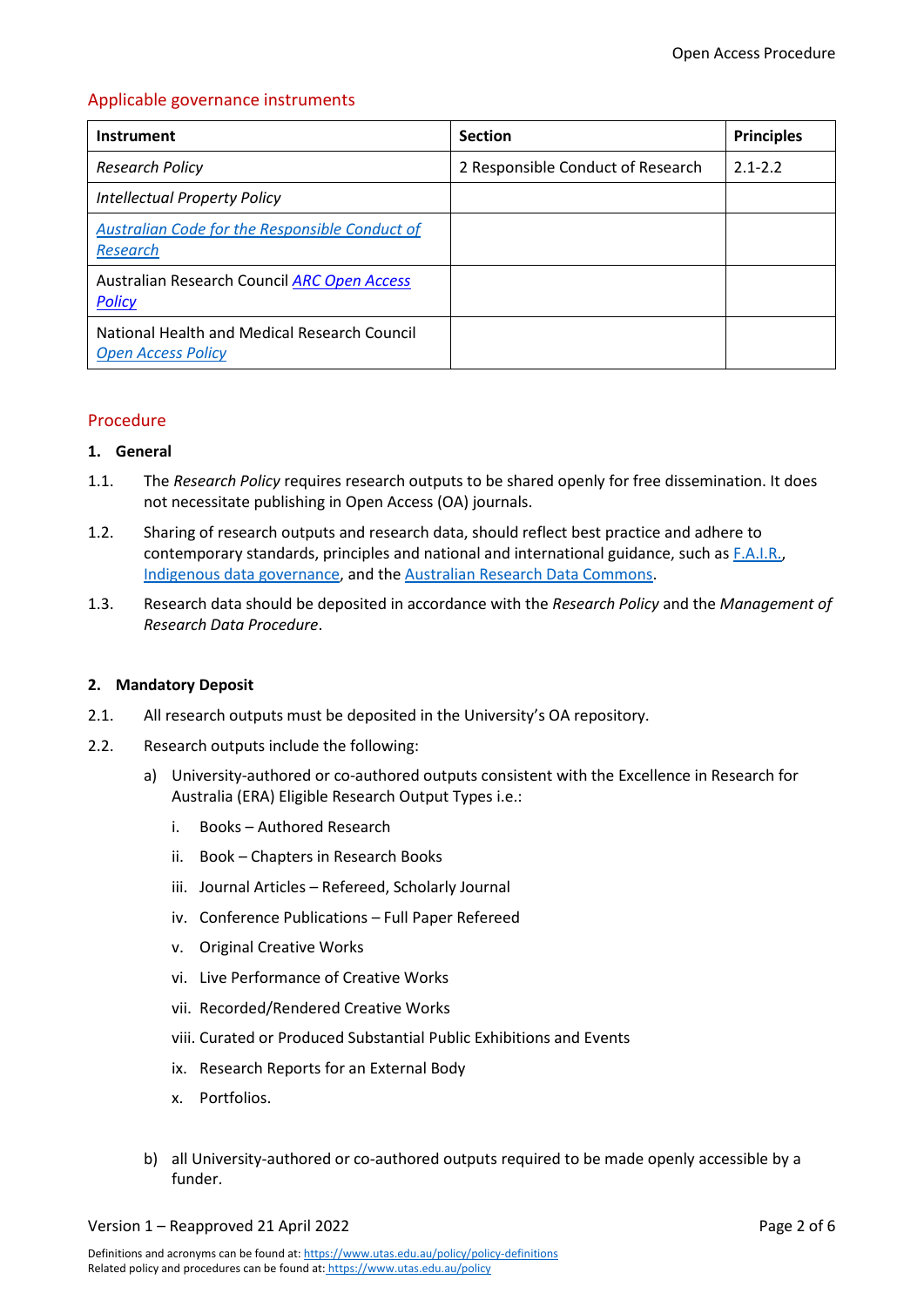# Applicable governance instruments

| Instrument                                                                | <b>Section</b>                    | <b>Principles</b> |
|---------------------------------------------------------------------------|-----------------------------------|-------------------|
| <b>Research Policy</b>                                                    | 2 Responsible Conduct of Research | $2.1 - 2.2$       |
| <b>Intellectual Property Policy</b>                                       |                                   |                   |
| <b>Australian Code for the Responsible Conduct of</b><br>Research         |                                   |                   |
| Australian Research Council ARC Open Access<br><b>Policy</b>              |                                   |                   |
| National Health and Medical Research Council<br><b>Open Access Policy</b> |                                   |                   |

# <span id="page-1-0"></span>Procedure

## <span id="page-1-1"></span>**1. General**

- 1.1. The *Research Policy* requires research outputs to be shared openly for free dissemination. It does not necessitate publishing in Open Access (OA) journals.
- 1.2. Sharing of research outputs and research data, should reflect best practice and adhere to contemporary standards, principles and national and international guidance, such a[s F.A.I.R.,](https://www.fair-access.net.au/fair-statement) [Indigenous data governance,](https://ardc.edu.au/resources/working-with-data/sensitive-data/indigenous-data/) and the [Australian Research Data Commons.](https://ardc.edu.au/)
- 1.3. Research data should be deposited in accordance with the *Research Policy* and the *Management of Research Data Procedure*.

## <span id="page-1-2"></span>**2. Mandatory Deposit**

- 2.1. All research outputs must be deposited in the University's OA repository.
- 2.2. Research outputs include the following:
	- a) University-authored or co-authored outputs consistent with the [Excellence in Research for](https://universitytasmania.sharepoint.com/sites/research-division/SitePages/Managing-your-Research-Outputs.aspx)  [Australia \(ERA\) Eligible Research Output Types](https://universitytasmania.sharepoint.com/sites/research-division/SitePages/Managing-your-Research-Outputs.aspx) i.e.:
		- i. Books Authored Research
		- ii. Book Chapters in Research Books
		- iii. Journal Articles Refereed, Scholarly Journal
		- iv. Conference Publications Full Paper Refereed
		- v. Original Creative Works
		- vi. Live Performance of Creative Works
		- vii. Recorded/Rendered Creative Works
		- viii. Curated or Produced Substantial Public Exhibitions and Events
		- ix. Research Reports for an External Body
		- x. Portfolios.
	- b) all University-authored or co-authored outputs required to be made openly accessible by a funder.

Version 1 – Reapproved 21 April 2022 Page 2 of 6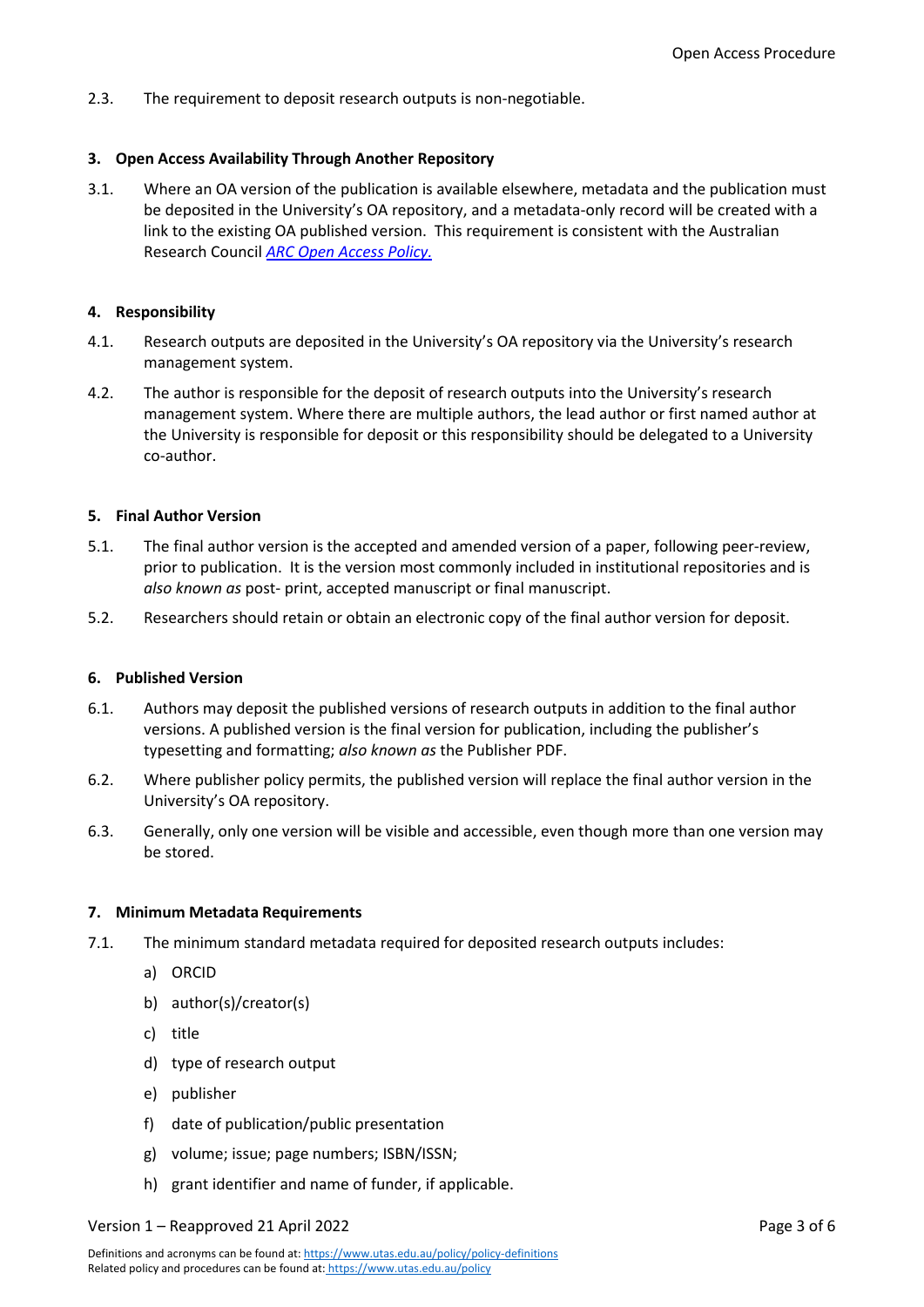2.3. The requirement to deposit research outputs is non-negotiable.

## <span id="page-2-0"></span>**3. Open Access Availability Through Another Repository**

3.1. Where an OA version of the publication is available elsewhere, metadata and the publication must be deposited in the University's OA repository, and a metadata-only record will be created with a link to the existing OA published version. This requirement is consistent with the Australian Research Council *[ARC Open Access Policy.](https://www.arc.gov.au/policies-strategies/policy/arc-open-access-policy)*

## <span id="page-2-1"></span>**4. Responsibility**

- 4.1. Research outputs are deposited in the University's OA repository via the University's research management system.
- 4.2. The author is responsible for the deposit of research outputs into the University's research management system. Where there are multiple authors, the lead author or first named author at the University is responsible for deposit or this responsibility should be delegated to a University co-author.

## <span id="page-2-2"></span>**5. Final Author Version**

- 5.1. The final author version is the accepted and amended version of a paper, following peer-review, prior to publication. It is the version most commonly included in institutional repositories and is *also known as* post- print, accepted manuscript or final manuscript.
- 5.2. Researchers should retain or obtain an electronic copy of the final author version for deposit.

### <span id="page-2-3"></span>**6. Published Version**

- 6.1. Authors may deposit the published versions of research outputs in addition to the final author versions. A published version is the final version for publication, including the publisher's typesetting and formatting; *also known as* the Publisher PDF.
- 6.2. Where publisher policy permits, the published version will replace the final author version in the University's OA repository.
- 6.3. Generally, only one version will be visible and accessible, even though more than one version may be stored.

### <span id="page-2-4"></span>**7. Minimum Metadata Requirements**

- 7.1. The minimum standard metadata required for deposited research outputs includes:
	- a) ORCID
	- b) author(s)/creator(s)
	- c) title
	- d) type of research output
	- e) publisher
	- f) date of publication/public presentation
	- g) volume; issue; page numbers; ISBN/ISSN;
	- h) grant identifier and name of funder, if applicable.

### Version 1 – Reapproved 21 April 2022 Page 3 of 6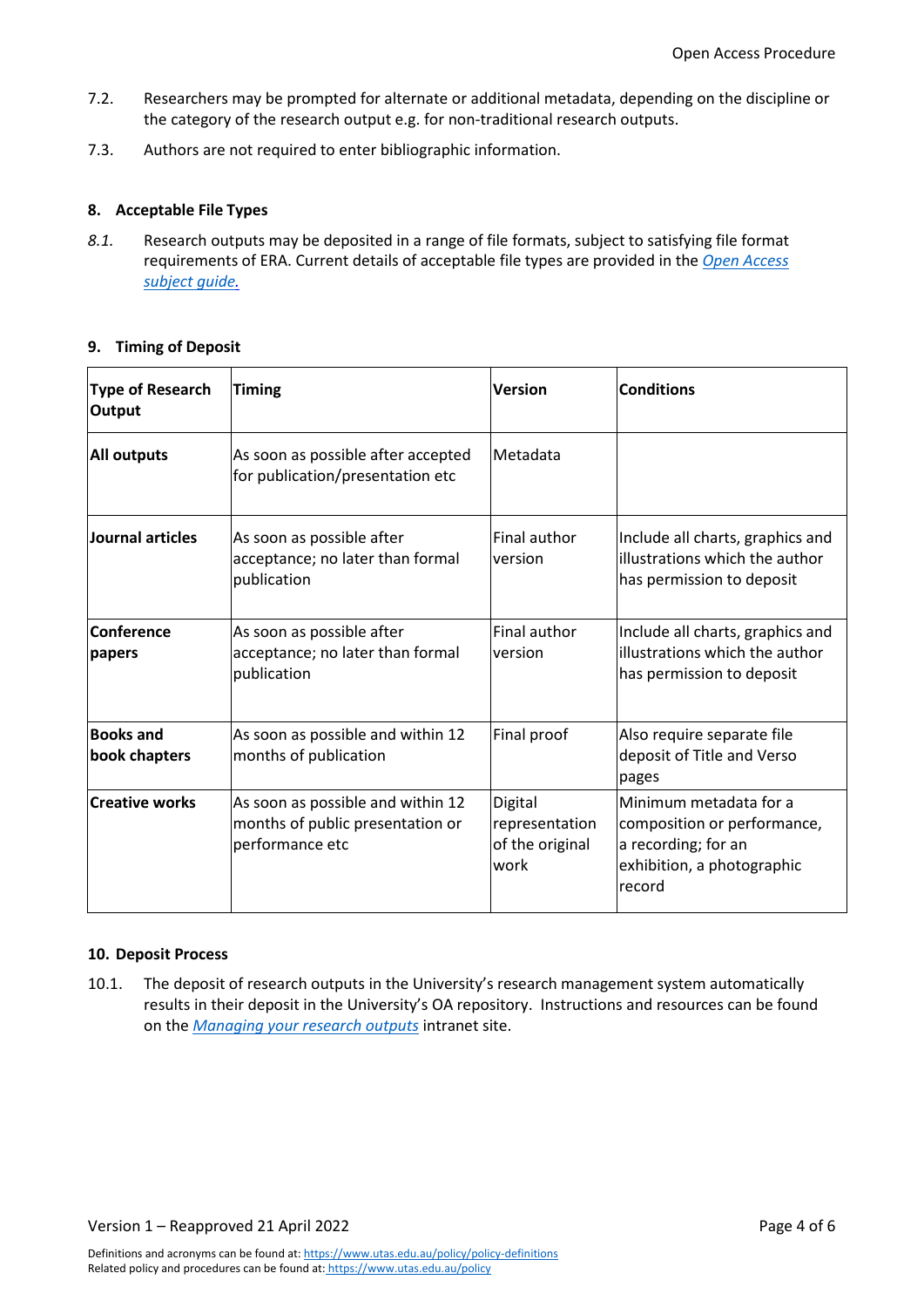- 7.2. Researchers may be prompted for alternate or additional metadata, depending on the discipline or the category of the research output e.g. for non-traditional research outputs.
- 7.3. Authors are not required to enter bibliographic information.

# <span id="page-3-0"></span>**8. Acceptable File Types**

*8.1.* Research outputs may be deposited in a range of file formats, subject to satisfying file format requirements of ERA. Current details of acceptable file types are provided in the *Open [Access](https://utas.libguides.com/OpenAccess/QandA#s-lg-box-21745763)  [subject guide.](https://utas.libguides.com/OpenAccess/QandA#s-lg-box-21745763)*

## <span id="page-3-1"></span>**9. Timing of Deposit**

| <b>Type of Research</b><br><b>Output</b> | <b>Timing</b>                                                                            | <b>Version</b>                                       | <b>Conditions</b>                                                                                                    |
|------------------------------------------|------------------------------------------------------------------------------------------|------------------------------------------------------|----------------------------------------------------------------------------------------------------------------------|
| <b>All outputs</b>                       | As soon as possible after accepted<br>for publication/presentation etc                   | Metadata                                             |                                                                                                                      |
| Journal articles                         | As soon as possible after<br>acceptance; no later than formal<br>publication             | Final author<br>version                              | Include all charts, graphics and<br>illustrations which the author<br>has permission to deposit                      |
| Conference<br>papers                     | As soon as possible after<br>acceptance; no later than formal<br>publication             | <b>Final author</b><br>version                       | Include all charts, graphics and<br>illustrations which the author<br>has permission to deposit                      |
| <b>Books and</b><br>book chapters        | As soon as possible and within 12<br>months of publication                               | Final proof                                          | Also require separate file<br>deposit of Title and Verso<br>pages                                                    |
| <b>Creative works</b>                    | As soon as possible and within 12<br>months of public presentation or<br>performance etc | Digital<br>representation<br>of the original<br>work | Minimum metadata for a<br>composition or performance,<br>a recording; for an<br>exhibition, a photographic<br>record |

## <span id="page-3-2"></span>**10. Deposit Process**

10.1. The deposit of research outputs in the University's research management system automatically results in their deposit in the University's OA repository. Instructions and resources can be found on the *[Managing your research outputs](https://universitytasmania.sharepoint.com/sites/research-division/SitePages/Managing-your-Research-Outputs.aspx)* intranet site.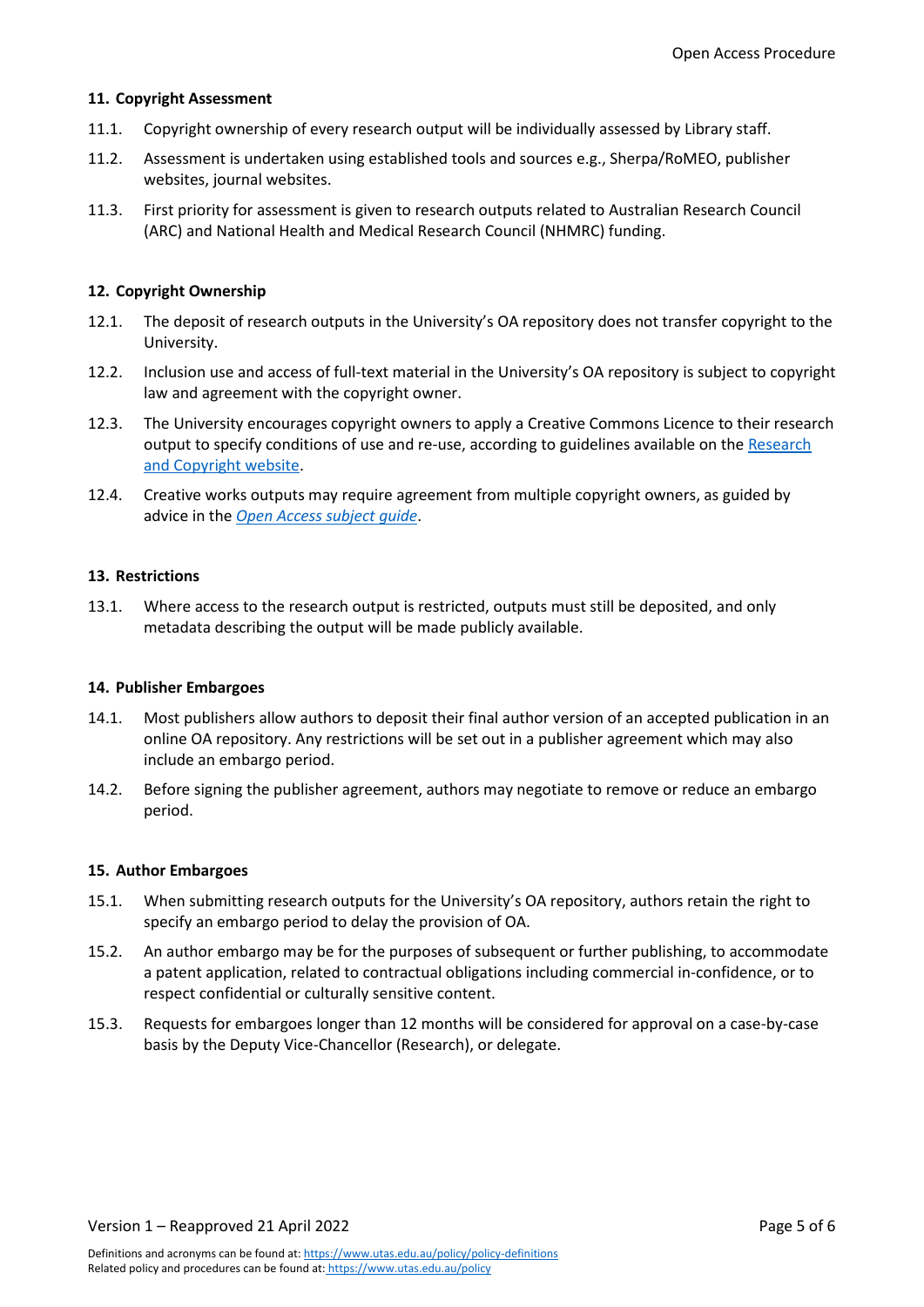## <span id="page-4-0"></span>**11. Copyright Assessment**

- 11.1. Copyright ownership of every research output will be individually assessed by Library staff.
- 11.2. Assessment is undertaken using established tools and sources e.g., Sherpa/RoMEO, publisher websites, journal websites.
- 11.3. First priority for assessment is given to research outputs related to Australian Research Council (ARC) and National Health and Medical Research Council (NHMRC) funding.

## <span id="page-4-1"></span>**12. Copyright Ownership**

- 12.1. The deposit of research outputs in the University's OA repository does not transfer copyright to the University.
- 12.2. Inclusion use and access of full-text material in the University's OA repository is subject to copyright law and agreement with the copyright owner.
- 12.3. The University encourages copyright owners to apply a Creative Commons Licence to their research output to specify conditions of use and re-use, according to guidelines available on the [Research](https://universitytasmania.sharepoint.com/sites/research-division/SitePages/Intellectual-Property.aspx)  [and Copyright website.](https://universitytasmania.sharepoint.com/sites/research-division/SitePages/Intellectual-Property.aspx)
- 12.4. Creative works outputs may require agreement from multiple copyright owners, as guided by advice in the *[Open Access subject guide](https://utas.libguides.com/OpenAccess/NTROs)*.

## <span id="page-4-2"></span>**13. Restrictions**

13.1. Where access to the research output is restricted, outputs must still be deposited, and only metadata describing the output will be made publicly available.

### <span id="page-4-3"></span>**14. Publisher Embargoes**

- 14.1. Most publishers allow authors to deposit their final author version of an accepted publication in an online OA repository. Any restrictions will be set out in a publisher agreement which may also include an embargo period.
- 14.2. Before signing the publisher agreement, authors may negotiate to remove or reduce an embargo period.

### <span id="page-4-4"></span>**15. Author Embargoes**

- 15.1. When submitting research outputs for the University's OA repository, authors retain the right to specify an embargo period to delay the provision of OA.
- 15.2. An author embargo may be for the purposes of subsequent or further publishing, to accommodate a patent application, related to contractual obligations including commercial in-confidence, or to respect confidential or culturally sensitive content.
- 15.3. Requests for embargoes longer than 12 months will be considered for approval on a case-by-case basis by the Deputy Vice-Chancellor (Research), or delegate.